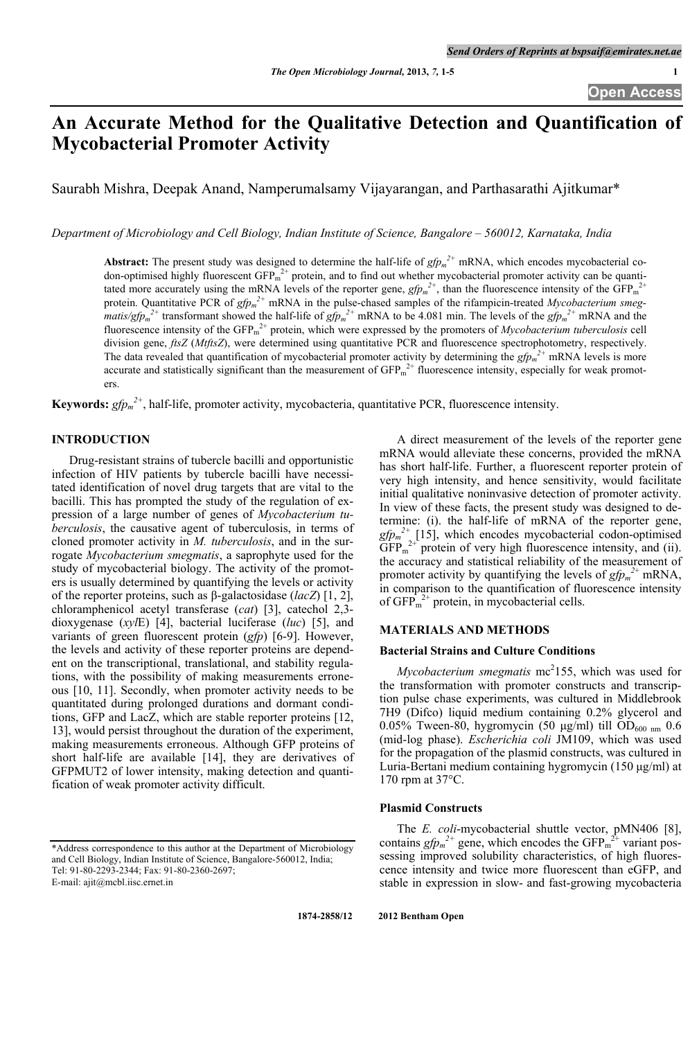# **An Accurate Method for the Qualitative Detection and Quantification of Mycobacterial Promoter Activity**

Saurabh Mishra, Deepak Anand, Namperumalsamy Vijayarangan, and Parthasarathi Ajitkumar\*

*Department of Microbiology and Cell Biology, Indian Institute of Science, Bangalore – 560012, Karnataka, India* 

Abstract: The present study was designed to determine the half-life of  $gfp_m^2$ <sup>+</sup> mRNA, which encodes mycobacterial codon-optimised highly fluorescent  $GFP_m^{2+}$  protein, and to find out whether mycobacterial promoter activity can be quantitated more accurately using the mRNA levels of the reporter gene,  $gfp_m^{2+}$ , than the fluorescence intensity of the GFP<sub>m</sub><sup>2+</sup> protein. Quantitative PCR of  $gfp_m^2$ <sup>+</sup> mRNA in the pulse-chased samples of the rifampicin-treated *Mycobacterium smegmatis/gfp<sub>m</sub>*<sup>2+</sup> transformant showed the half-life of  $gfp_m^2$ <sup>+</sup> mRNA to be 4.081 min. The levels of the  $gfp_m^2$ <sup>+</sup> mRNA and the fluorescence intensity of the  $GFP_m^{2+}$  protein, which were expressed by the promoters of *Mycobacterium tuberculosis* cell division gene, *ftsZ* (*MtftsZ*), were determined using quantitative PCR and fluorescence spectrophotometry, respectively. The data revealed that quantification of mycobacterial promoter activity by determining the  $gfp_m^2$ <sup>+</sup> mRNA levels is more accurate and statistically significant than the measurement of  $GFP<sub>m</sub><sup>2+</sup>$  fluorescence intensity, especially for weak promoters.

**Keywords:** *gfpm 2+*, half-life, promoter activity, mycobacteria, quantitative PCR, fluorescence intensity.

## **INTRODUCTION**

 Drug-resistant strains of tubercle bacilli and opportunistic infection of HIV patients by tubercle bacilli have necessitated identification of novel drug targets that are vital to the bacilli. This has prompted the study of the regulation of expression of a large number of genes of *Mycobacterium tuberculosis*, the causative agent of tuberculosis, in terms of cloned promoter activity in *M. tuberculosis*, and in the surrogate *Mycobacterium smegmatis*, a saprophyte used for the study of mycobacterial biology. The activity of the promoters is usually determined by quantifying the levels or activity of the reporter proteins, such as β-galactosidase (*lacZ*) [1, 2], chloramphenicol acetyl transferase (*cat*) [3], catechol 2,3 dioxygenase (*xyl*E) [4], bacterial luciferase (*luc*) [5], and variants of green fluorescent protein (*gfp*) [6-9]. However, the levels and activity of these reporter proteins are dependent on the transcriptional, translational, and stability regulations, with the possibility of making measurements erroneous [10, 11]. Secondly, when promoter activity needs to be quantitated during prolonged durations and dormant conditions, GFP and LacZ, which are stable reporter proteins [12, 13], would persist throughout the duration of the experiment, making measurements erroneous. Although GFP proteins of short half-life are available [14], they are derivatives of GFPMUT2 of lower intensity, making detection and quantification of weak promoter activity difficult.

 A direct measurement of the levels of the reporter gene mRNA would alleviate these concerns, provided the mRNA has short half-life. Further, a fluorescent reporter protein of very high intensity, and hence sensitivity, would facilitate initial qualitative noninvasive detection of promoter activity. In view of these facts, the present study was designed to determine: (i). the half-life of mRNA of the reporter gene,  $gfp_m^2$ <sup>2+</sup> [15], which encodes mycobacterial codon-optimised  $\widehat{GFP}_m^{2+}$  protein of very high fluorescence intensity, and (ii). the accuracy and statistical reliability of the measurement of promoter activity by quantifying the levels of  $gfp<sub>m</sub><sup>2+</sup>$  mRNA, in comparison to the quantification of fluorescence intensity of  $GFP<sub>m</sub><sup>2+</sup>$  protein, in mycobacterial cells.

## **MATERIALS AND METHODS**

#### **Bacterial Strains and Culture Conditions**

*Mycobacterium smegmatis* mc<sup>2</sup>155, which was used for the transformation with promoter constructs and transcription pulse chase experiments, was cultured in Middlebrook 7H9 (Difco) liquid medium containing 0.2% glycerol and 0.05% Tween-80, hygromycin (50 μg/ml) till OD<sub>600 nm</sub> 0.6 (mid-log phase). *Escherichia coli* JM109, which was used for the propagation of the plasmid constructs, was cultured in Luria-Bertani medium containing hygromycin (150 μg/ml) at 170 rpm at 37°C.

### **Plasmid Constructs**

 The *E. coli*-mycobacterial shuttle vector, pMN406 [8], contains  $gfp_m^2$  gene, which encodes the  $GFP_m^2$  variant possessing improved solubility characteristics, of high fluorescence intensity and twice more fluorescent than eGFP, and stable in expression in slow- and fast-growing mycobacteria

 **1874-2858/12 2012 Bentham Open**

<sup>\*</sup>Address correspondence to this author at the Department of Microbiology and Cell Biology, Indian Institute of Science, Bangalore-560012, India; Tel: 91-80-2293-2344; Fax: 91-80-2360-2697;

E-mail: ajit@mcbl.iisc.ernet.in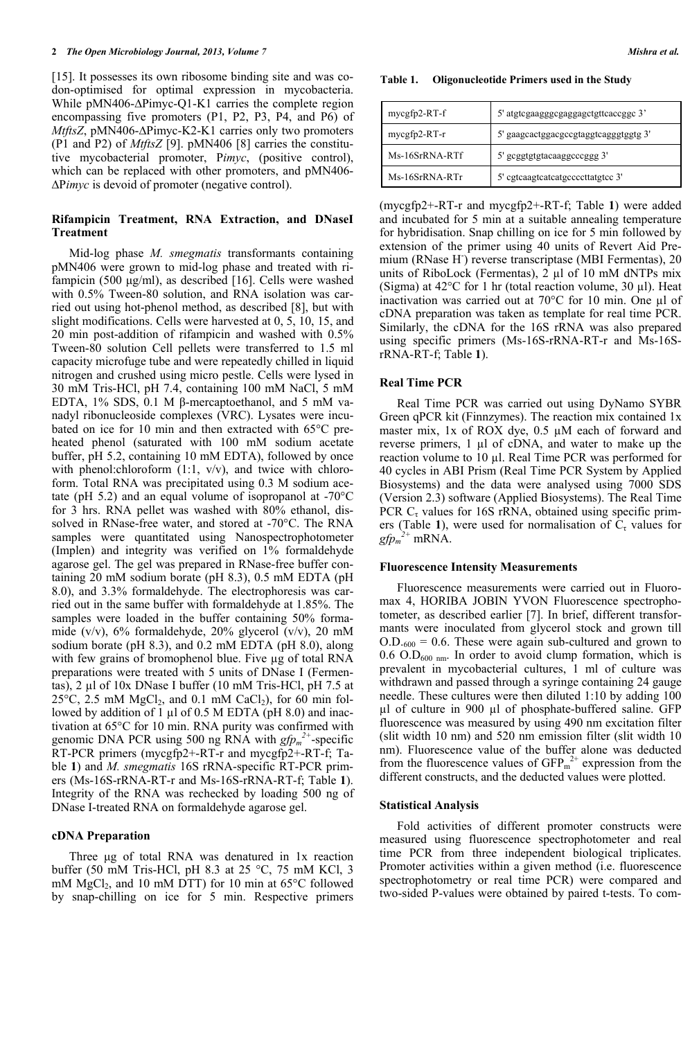#### **2** *Phe Open Microbiology Journal, 2013, Volume 7* **Mishra et al. <b>***Mishra et al. Mishra et al.*

[15]. It possesses its own ribosome binding site and was codon-optimised for optimal expression in mycobacteria. While pMN406-∆Pimyc-Q1-K1 carries the complete region encompassing five promoters (P1, P2, P3, P4, and P6) of *MtftsZ*, pMN406-∆Pimyc-K2-K1 carries only two promoters (P1 and P2) of *MtftsZ* [9]. pMN406 [8] carries the constitutive mycobacterial promoter, P*imyc*, (positive control), which can be replaced with other promoters, and  $pMN406$ -∆P*imyc* is devoid of promoter (negative control).

## **Rifampicin Treatment, RNA Extraction, and DNaseI Treatment**

 Mid-log phase *M. smegmatis* transformants containing pMN406 were grown to mid-log phase and treated with rifampicin (500 μg/ml), as described [16]. Cells were washed with 0.5% Tween-80 solution, and RNA isolation was carried out using hot-phenol method, as described [8], but with slight modifications. Cells were harvested at 0, 5, 10, 15, and 20 min post-addition of rifampicin and washed with 0.5% Tween-80 solution Cell pellets were transferred to 1.5 ml capacity microfuge tube and were repeatedly chilled in liquid nitrogen and crushed using micro pestle. Cells were lysed in 30 mM Tris-HCl, pH 7.4, containing 100 mM NaCl, 5 mM EDTA, 1% SDS, 0.1 M β-mercaptoethanol, and 5 mM vanadyl ribonucleoside complexes (VRC). Lysates were incubated on ice for 10 min and then extracted with 65°C preheated phenol (saturated with 100 mM sodium acetate buffer, pH 5.2, containing 10 mM EDTA), followed by once with phenol:chloroform  $(1:1, v/v)$ , and twice with chloroform. Total RNA was precipitated using 0.3 M sodium acetate (pH 5.2) and an equal volume of isopropanol at -70°C for 3 hrs. RNA pellet was washed with 80% ethanol, dissolved in RNase-free water, and stored at -70°C. The RNA samples were quantitated using Nanospectrophotometer (Implen) and integrity was verified on 1% formaldehyde agarose gel. The gel was prepared in RNase-free buffer containing 20 mM sodium borate (pH 8.3), 0.5 mM EDTA (pH 8.0), and 3.3% formaldehyde. The electrophoresis was carried out in the same buffer with formaldehyde at 1.85%. The samples were loaded in the buffer containing 50% formamide (v/v), 6% formaldehyde, 20% glycerol (v/v), 20 mM sodium borate (pH 8.3), and 0.2 mM EDTA (pH 8.0), along with few grains of bromophenol blue. Five µg of total RNA preparations were treated with 5 units of DNase I (Fermentas), 2 µl of 10x DNase I buffer (10 mM Tris-HCl, pH 7.5 at  $25^{\circ}$ C, 2.5 mM MgCl<sub>2</sub>, and 0.1 mM CaCl<sub>2</sub>), for 60 min followed by addition of 1 μl of 0.5 M EDTA (pH 8.0) and inactivation at 65°C for 10 min. RNA purity was confirmed with genomic DNA PCR using 500 ng RNA with  $gfp_m^2$ <sup>2+</sup>-specific RT-PCR primers (mycgfp2+-RT-r and mycgfp2+-RT-f; Table **1**) and *M. smegmatis* 16S rRNA-specific RT-PCR primers (Ms-16S-rRNA-RT-r and Ms-16S-rRNA-RT-f; Table **1**). Integrity of the RNA was rechecked by loading 500 ng of DNase I-treated RNA on formaldehyde agarose gel.

#### **cDNA Preparation**

 Three μg of total RNA was denatured in 1x reaction buffer (50 mM Tris-HCl, pH 8.3 at 25 °C, 75 mM KCl, 3 mM  $MgCl<sub>2</sub>$ , and 10 mM DTT) for 10 min at 65 $^{\circ}$ C followed by snap-chilling on ice for 5 min. Respective primers

**Table 1. Oligonucleotide Primers used in the Study**

| mycgfp2-RT-f   | 5' atgtcgaagggcgaggagctgttcaccggc 3'  |
|----------------|---------------------------------------|
| mycgfp2-RT-r   | 5' gaagcactggacgccgtaggtcagggtggtg 3' |
| Ms-16SrRNA-RTf | 5' gcggtgtgtacaaggcccggg 3'           |
| Ms-16SrRNA-RTr | 5' egteaagteateatgeeeettatgtee 3'     |

(mycgfp2+-RT-r and mycgfp2+-RT-f; Table **1**) were added and incubated for 5 min at a suitable annealing temperature for hybridisation. Snap chilling on ice for 5 min followed by extension of the primer using 40 units of Revert Aid Premium (RNase H) reverse transcriptase (MBI Fermentas), 20 units of RiboLock (Fermentas),  $2 \mu l$  of 10 mM dNTPs mix (Sigma) at  $42^{\circ}$ C for 1 hr (total reaction volume, 30 µl). Heat inactivation was carried out at 70°C for 10 min. One µl of cDNA preparation was taken as template for real time PCR. Similarly, the cDNA for the 16S rRNA was also prepared using specific primers (Ms-16S-rRNA-RT-r and Ms-16SrRNA-RT-f; Table **1**).

#### **Real Time PCR**

 Real Time PCR was carried out using DyNamo SYBR Green qPCR kit (Finnzymes). The reaction mix contained 1x master mix, 1x of ROX dye, 0.5 µM each of forward and reverse primers, 1 µl of cDNA, and water to make up the reaction volume to 10 µl. Real Time PCR was performed for 40 cycles in ABI Prism (Real Time PCR System by Applied Biosystems) and the data were analysed using 7000 SDS (Version 2.3) software (Applied Biosystems). The Real Time PCR  $C_{\tau}$  values for 16S rRNA, obtained using specific primers (Table 1), were used for normalisation of  $C_{\tau}$  values for  $gfp_m^2$ <sup>+</sup> mRNA.

#### **Fluorescence Intensity Measurements**

 Fluorescence measurements were carried out in Fluoromax 4, HORIBA JOBIN YVON Fluorescence spectrophotometer, as described earlier [7]. In brief, different transformants were inoculated from glycerol stock and grown till  $O.D_{.600} = 0.6$ . These were again sub-cultured and grown to  $0.6$  O.D<sub>600 nm</sub>. In order to avoid clump formation, which is prevalent in mycobacterial cultures, 1 ml of culture was withdrawn and passed through a syringe containing 24 gauge needle. These cultures were then diluted 1:10 by adding 100 µl of culture in 900 µl of phosphate-buffered saline. GFP fluorescence was measured by using 490 nm excitation filter (slit width 10 nm) and 520 nm emission filter (slit width 10 nm). Fluorescence value of the buffer alone was deducted from the fluorescence values of  $\text{GFP}_{m}^{2+}$  expression from the different constructs, and the deducted values were plotted.

#### **Statistical Analysis**

 Fold activities of different promoter constructs were measured using fluorescence spectrophotometer and real time PCR from three independent biological triplicates. Promoter activities within a given method (i.e. fluorescence spectrophotometry or real time PCR) were compared and two-sided P-values were obtained by paired t-tests. To com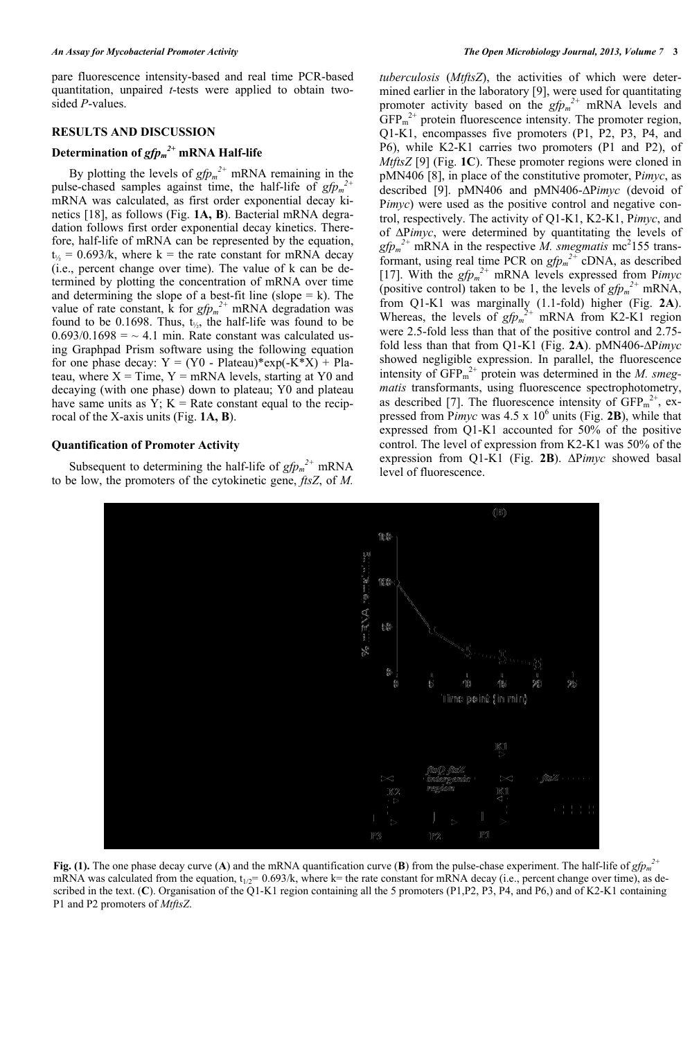pare fluorescence intensity-based and real time PCR-based quantitation, unpaired *t*-tests were applied to obtain twosided *P*-values.

## **RESULTS AND DISCUSSION**

## **Determination of** *gfpm 2+* **mRNA Half-life**

By plotting the levels of  $gfp_m^2$  mRNA remaining in the pulse-chased samples against time, the half-life of  $gfp_m^2$ mRNA was calculated, as first order exponential decay kinetics [18], as follows (Fig. **1A, B**). Bacterial mRNA degradation follows first order exponential decay kinetics. Therefore, half-life of mRNA can be represented by the equation,  $t_{1/2} = 0.693/k$ , where k = the rate constant for mRNA decay (i.e., percent change over time). The value of k can be determined by plotting the concentration of mRNA over time and determining the slope of a best-fit line (slope  $= k$ ). The value of rate constant, k for  $gfp_m^2$  mRNA degradation was found to be 0.1698. Thus,  $t_{\gamma}$ , the half-life was found to be  $0.693/0.1698 = -4.1$  min. Rate constant was calculated using Graphpad Prism software using the following equation for one phase decay:  $Y = (Y0 - Plateau)*exp(-K*X) + Pla$ teau, where  $X = Time$ ,  $Y = mRNA$  levels, starting at Y0 and decaying (with one phase) down to plateau; Y0 and plateau have same units as  $Y$ ;  $K =$  Rate constant equal to the reciprocal of the X-axis units (Fig. **1A, B**).

#### **Quantification of Promoter Activity**

Subsequent to determining the half-life of  $gfp<sub>m</sub><sup>2+</sup>$  mRNA to be low, the promoters of the cytokinetic gene, *ftsZ*, of *M.* 

*tuberculosis* (*MtftsZ*), the activities of which were determined earlier in the laboratory [9], were used for quantitating promoter activity based on the  $gfp<sub>m</sub><sup>2+</sup>$  mRNA levels and  $GFP<sub>m</sub><sup>2+</sup>$  protein fluorescence intensity. The promoter region, Q1-K1, encompasses five promoters (P1, P2, P3, P4, and P6), while K2-K1 carries two promoters (P1 and P2), of *MtftsZ* [9] (Fig. **1C**). These promoter regions were cloned in pMN406 [8], in place of the constitutive promoter, P*imyc*, as described [9]. pMN406 and pMN406-∆P*imyc* (devoid of P*imyc*) were used as the positive control and negative control, respectively. The activity of Q1-K1, K2-K1, P*imyc*, and of ∆P*imyc*, were determined by quantitating the levels of  $gfp<sub>m</sub><sup>2+</sup>$  mRNA in the respective *M. smegmatis* mc<sup>2</sup>155 transformant, using real time PCR on  $gfp_m^2$  cDNA, as described [17]. With the *gfpm 2+* mRNA levels expressed from P*imyc* (positive control) taken to be 1, the levels of  $gfp_m^2$ <sup>+</sup> mRNA, from Q1-K1 was marginally (1.1-fold) higher (Fig. **2A**). Whereas, the levels of  $gfp_m^2$  mRNA from K2-K1 region were 2.5-fold less than that of the positive control and 2.75 fold less than that from Q1-K1 (Fig. **2A**). pMN406-∆P*imyc* showed negligible expression. In parallel, the fluorescence intensity of  $GFP<sub>m</sub><sup>2+</sup>$  protein was determined in the *M. smegmatis* transformants, using fluorescence spectrophotometry, as described [7]. The fluorescence intensity of  $GFP<sub>m</sub><sup>2+</sup>, ex$ pressed from Pimyc was  $4.5 \times 10^6$  units (Fig. 2B), while that expressed from Q1-K1 accounted for 50% of the positive control. The level of expression from K2-K1 was 50% of the expression from Q1-K1 (Fig. **2B**). ∆P*imyc* showed basal level of fluorescence.



**Fig. (1).** The one phase decay curve (A) and the mRNA quantification curve (B) from the pulse-chase experiment. The half-life of  $gfp<sub>m</sub><sup>2+</sup>$ mRNA was calculated from the equation,  $t_{1/2}$ = 0.693/k, where k= the rate constant for mRNA decay (i.e., percent change over time), as described in the text. (**C**). Organisation of the Q1-K1 region containing all the 5 promoters (P1,P2, P3, P4, and P6,) and of K2-K1 containing P1 and P2 promoters of *MtftsZ*.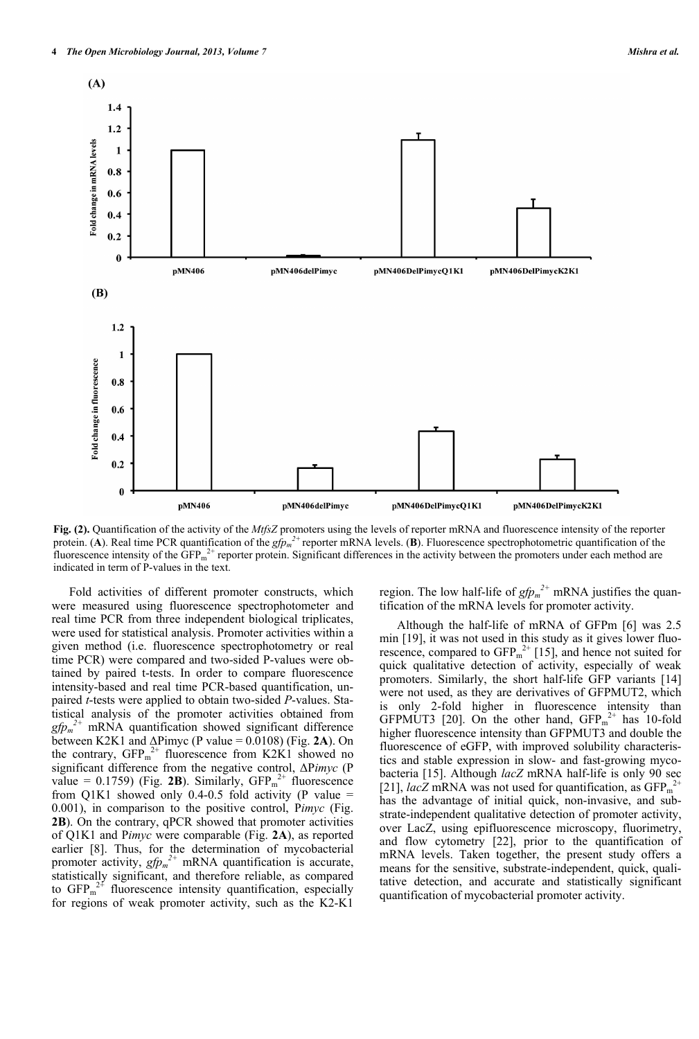

**Fig. (2).** Quantification of the activity of the *MtfsZ* promoters using the levels of reporter mRNA and fluorescence intensity of the reporter protein. (A). Real time PCR quantification of the  $gfp_m^2$  reporter mRNA levels. (B). Fluorescence spectrophotometric quantification of the fluorescence intensity of the  $\widehat{GFP_m}^{2+}$  reporter protein. Significant differences in the activity between the promoters under each method are indicated in term of P-values in the text.

 Fold activities of different promoter constructs, which were measured using fluorescence spectrophotometer and real time PCR from three independent biological triplicates, were used for statistical analysis. Promoter activities within a given method (i.e. fluorescence spectrophotometry or real time PCR) were compared and two-sided P-values were obtained by paired t-tests. In order to compare fluorescence intensity-based and real time PCR-based quantification, unpaired *t*-tests were applied to obtain two-sided *P*-values. Statistical analysis of the promoter activities obtained from  $gfp_m^2$ <sup>+</sup> mRNA quantification showed significant difference between K2K1 and  $\Delta$ Pimyc (P value = 0.0108) (Fig. 2A). On the contrary,  $GFP<sub>m</sub><sup>2+</sup>$  fluorescence from K2K1 showed no significant difference from the negative control, ΔP*imyc* (P value =  $0.1759$ ) (Fig. 2B). Similarly,  $GFP<sub>m</sub><sup>2+</sup>$  fluorescence from Q1K1 showed only 0.4-0.5 fold activity (P value  $=$ 0.001), in comparison to the positive control, P*imyc* (Fig. **2B**). On the contrary, qPCR showed that promoter activities of Q1K1 and P*imyc* were comparable (Fig. **2A**), as reported earlier [8]. Thus, for the determination of mycobacterial promoter activity,  $gfp<sub>m</sub><sup>2+</sup>$  mRNA quantification is accurate, statistically significant, and therefore reliable, as compared to  $GFP<sub>m</sub><sup>2+</sup>$  fluorescence intensity quantification, especially for regions of weak promoter activity, such as the K2-K1

region. The low half-life of  $gfp<sub>m</sub><sup>2+</sup>$  mRNA justifies the quantification of the mRNA levels for promoter activity.

 Although the half-life of mRNA of GFPm [6] was 2.5 min [19], it was not used in this study as it gives lower fluorescence, compared to  $GFP<sub>m</sub><sup>2+</sup>$  [15], and hence not suited for quick qualitative detection of activity, especially of weak promoters. Similarly, the short half-life GFP variants [14] were not used, as they are derivatives of GFPMUT2, which is only 2-fold higher in fluorescence intensity than GFPMUT3 [20]. On the other hand,  $GFP<sub>m</sub><sup>2+</sup>$  has 10-fold higher fluorescence intensity than GFPMUT3 and double the fluorescence of eGFP, with improved solubility characteristics and stable expression in slow- and fast-growing mycobacteria [15]. Although *lacZ* mRNA half-life is only 90 sec [21], *lac*Z mRNA was not used for quantification, as  $GFP<sub>m</sub><sup>2+</sup>$ has the advantage of initial quick, non-invasive, and substrate-independent qualitative detection of promoter activity, over LacZ, using epifluorescence microscopy, fluorimetry, and flow cytometry [22], prior to the quantification of mRNA levels. Taken together, the present study offers a means for the sensitive, substrate-independent, quick, qualitative detection, and accurate and statistically significant quantification of mycobacterial promoter activity.